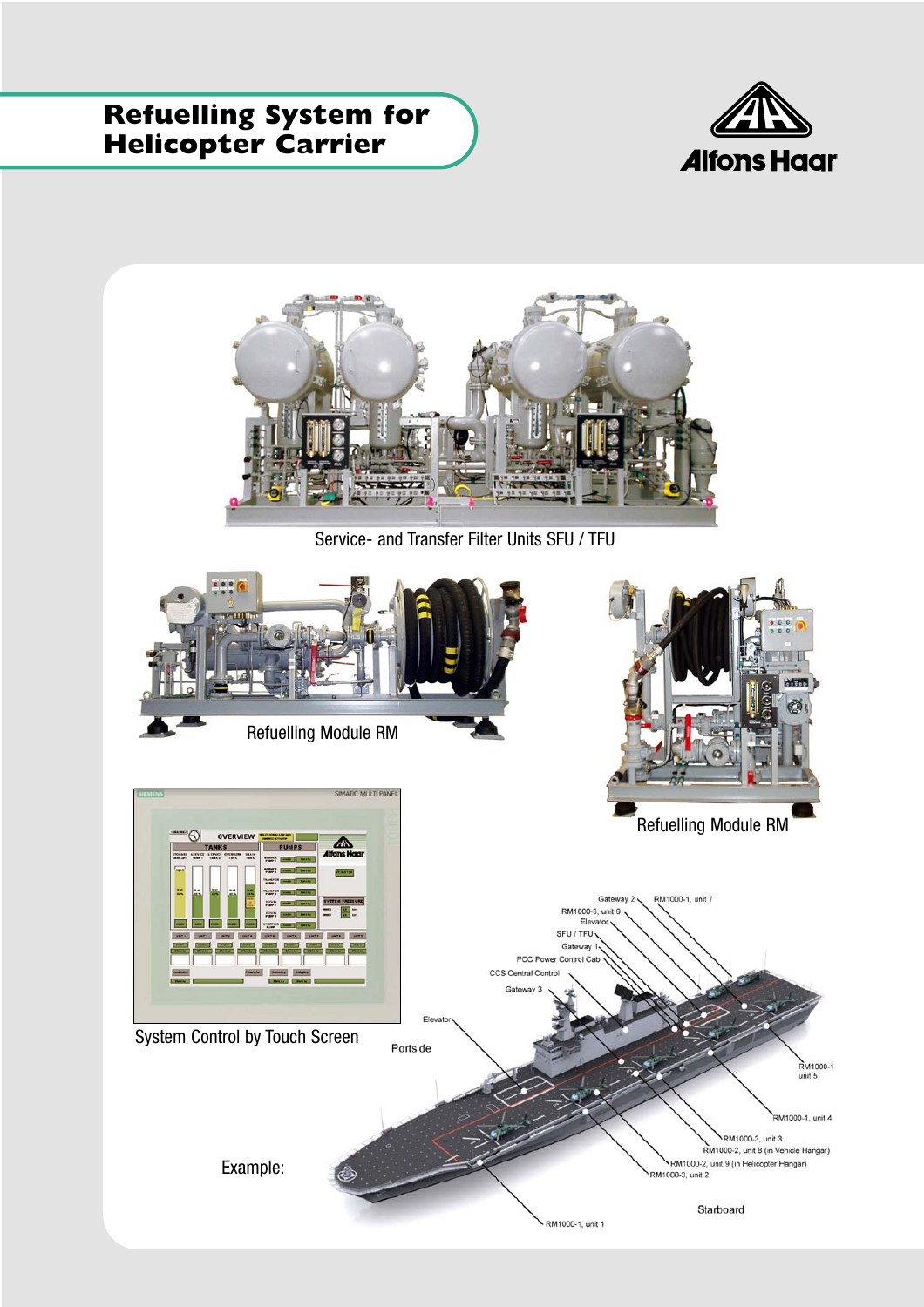## **Refuelling System for Helicopter Carrier**